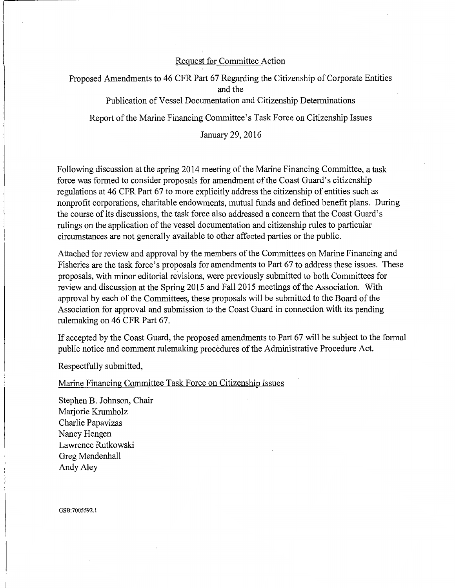## Request for Committee Action

I

Proposed Amendments to 46 CFR Part 67 Regarding the Citizenship of Corporate Entities and the Publication of Vessel Documentation and Citizenship Determinations Report of the Marine Financing Committee's Task Force on Citizenship Issues

January 29, 2016

Following discussion at the spring 2014 meeting of the Marine Financing Committee, a task force was formed to consider proposals for amendment of the Coast Guard's citizenship regulations at 46 CFR Part 67 to more explicitly address the citizenship of entities such as nonprofit corporations, charitable endowments, mutual funds and defined benefit plans. During the course of its discussions, the task force also addressed a concern that the Coast Guard's rulings on the application of the vessel documentation and citizenship rules to particular circumstances are not generally available to other affected parties or the public.

Attached for review and approval by the members of the Committees on Marine Financing and Fisheries are the task force's proposals for amendments to Part 67 to address these issues. These proposals, with minor editorial revisions, were previously submitted to both Committees for review and discussion at the Spring 2015 and Fall 2015 meetings of the Association. With approval by each of the Committees, these proposals will be submitted to the Board of the Association for approval and submission to the Coast Guard in connection with its pending rulemaking on 46 CFR Part 67.

If accepted by the Coast Guard, the proposed amendments to Part 67 will be subject to the formal public notice and comment rulemaking procedures of the Administrative Procedure Act.

Respectfully submitted,

Marine Financing Committee Task Force on Citizenship Issues

Stephen B. Johnson, Chair Marjorie Krumholz Charlie Papavizas Nancy Hengen Lawrence Rutkowski Greg Mendenhall Andy Aley

GSB:7005592.l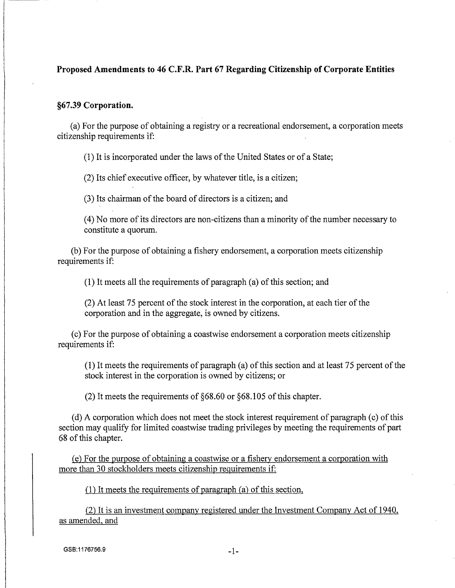# **Proposed Amendments to 46 C.F.R. Part 67 Regarding Citizenship of Corporate Entities**

#### **§67.39 Corporation.**

(a) For the purpose of obtaining a registry or a recreational endorsement, a corporation meets citizenship requirements if:

( 1) It is incorporated under the laws of the United States or of a State;

(2) Its chief executive officer, by whatever title, is a citizen;

(3) Its chairman of the board of directors is a citizen; and

(4) No more of its directors are non-citizens than a minority of the number necessary to constitute a quorum.

(b) For the purpose of obtaining a fishery endorsement, a corporation m~ets citizenship requirements if:

(1) It meets all the requirements of paragraph (a) of this section; and

(2) At least 75 percent of the stock interest in the corporation, at each tier of the corporation and in the aggregate, is owned by citizens.

( c) For the purpose of obtaining a coastwise endorsement a corporation meets citizenship requirements if:

(1) It meets the requirements of paragraph (a) of this section and at least 75 percent of the stock interest in the corporation is owned by citizens; or

(2) It meets the requirements of §68.60 or §68.105 of this chapter.

(d) A corporation which does not meet the stock interest requirement of paragraph (c) of this section may qualify for limited coastwise trading privileges by meeting the requirements of part 68 of this chapter.

(e) For the purpose of obtaining a coastwise or a fishery endorsement a corporation with more than 30 stockholders meets citizenship requirements if:

(1) It meets the requirements of paragraph (a) of this section,

(2) It is an investment company registered under the Investment Company Act of 1940, as amended, and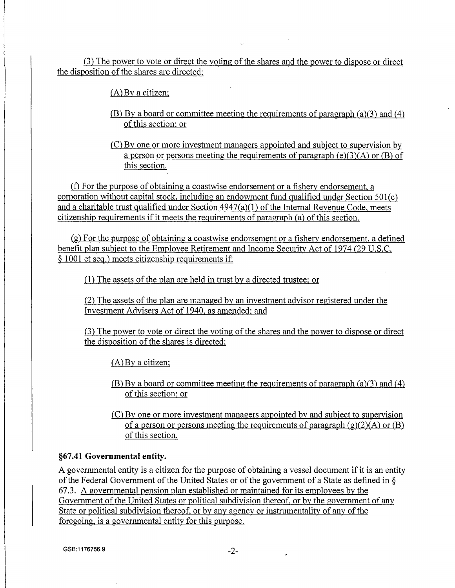(3) The power to vote or direct the voting of the shares and the power to dispose or direct the disposition of the shares are directed:

(A) By a citizen;

- (B) By a board or committee meeting the requirements of paragraph (a)(3) and (4) of this section; or
- (C) By one or more investment managers appointed and subject to supervision by a person or persons meeting the requirements of paragraph (e)(3)(A) or (B) of this section.

(f) For the purpose of obtaining a coastwise endorsement or a fishery endorsement, a corporation without capital stock. including an endowment fund qualified under Section 501(c) and a charitable trust qualified under Section 4947(a)(l) of the Internal Revenue Code, meets citizenship requirements if it meets the requirements of paragraph (a) of this section.

(g) For the purpose of obtaining a coastwise endorsement or a fishery endorsement, a defined benefit plan subject to the Employee Retirement and Income Security Act of 1974 (29 U.S.C. § 1001 et seq.) meets citizenship requirements if:

 $(1)$  The assets of the plan are held in trust by a directed trustee; or

(2) The assets of the plan are managed by an investment advisor registered under the Investment Advisers Act of 1940, as amended; and

(3) The power to vote or direct the voting of the shares and the power to dispose or direct the disposition of the shares is directed:

(A)By a citizen;

(B) By a board or committee meeting the requirements of paragraph (a)(3) and ( 4) of this section; or

(C) By one or more investment managers appointed by and subject to supervision of a person or persons meeting the requirements of paragraph  $(g)(2)(A)$  or  $(B)$ of this section.

# **§67.41 Governmental entity.**

A governmental entity is a citizen for the purpose of obtaining a vessel document if it is an entity of the Federal Government of the United States or of the government of a State as defined in§ 67.3. A governmental pension plan established or maintained for its employees by the Government of the United States or political subdivision thereof, or by the government of any State or political subdivision thereof, or by any agency or instrumentality of any of the foregoing, is a governmental entity for this purpose.

GSB:1176756.9 -2-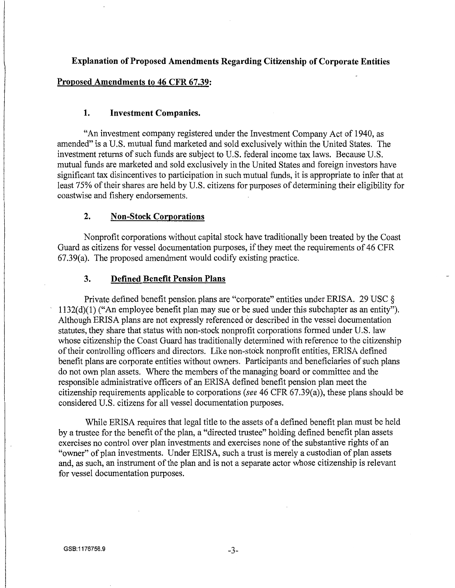## **Explanation of Proposed Amendments Regarding Citizenship of Corporate Entities**

### **Proposed Amendments to 46 CFR 67.39:**

#### **1. Investment Companies.**

"An investment company registered under the Investment Company Act of 1940, as amended" is a U.S. mutual fund marketed and sold exclusively within the United States. The investment returns of such funds are subject to U.S. federal income tax laws. Because U.S. mutual funds are marketed and sold exclusively in the United States and foreign investors have significant tax disincentives to participation in such mutual funds, it is appropriate to infer that at least 75% of their shares are held by U.S. citizens for purposes of determining their eligibility for coastwise and fishery endorsements.

### **2. Non-Stock Corporations**

Nonprofit corporations without capital stock have traditionally been treated by the Coast Guard as citizens for vessel documentation purposes, if they meet the requirements of 46 CFR 67.39(a). The proposed amendment would codify existing practice.

#### **3. Defined Benefit Pension Plans**

Private defined benefit pension plans are "corporate" entities under ERISA. 29 USC § 1132(d)(l) ("An employee benefit plan may sue or be sued under this subchapter as an entity"). Although ERISA plans are not expressly referenced or described in the vessel documentation statutes, they share that status with non-stock nonprofit corporations formed under U.S. law whose citizenship the Coast Guard has traditionally determined with reference to the citizenship of their controlling officers and directors. Like non-stock nonprofit entities, ERISA defined benefit plans are corporate entities without owners. Participants and beneficiaries of such plans do not own plan assets. Where the members of the managing board or committee and the responsible administrative officers of an ERISA defined benefit pension plan meet the citizenship requirements applicable to corporations *(see* 46 CFR 67.39(a)), these plans should be considered U.S. citizens for all vessel documentation purposes.

While ERISA requires that legal title to the assets of a defined benefit plan must be held by a trustee for the benefit of the plan, a "directed trustee" holding defined benefit plan assets exercises no control over plan investments and exercises none of the substantive rights of an "owner" of plan investments. Under ERISA, such a trust is merely a custodian of plan assets and, as such, an instrument of the plan and is not a separate actor whose citizenship is relevant for vessel documentation purposes.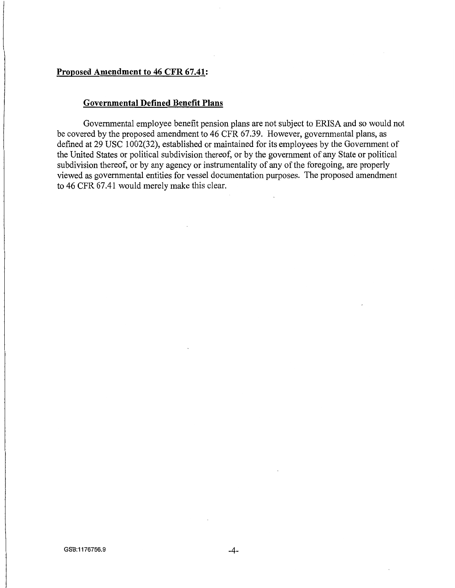# **Proposed Amendment to 46 CFR 67.41:**

## **Governmental Defined Benefit Plans**

Governmental employee benefit pension plans are not subject to ERISA and so would not be covered by the proposed amendment to 46 CFR 67.39. However, governmental plans, as defined at 29 USC 1002(32), established or maintained for its employees by the Government of the United States or political subdivision thereof, or by the government of any State or political subdivision thereof, or by any agency or instrumentality of any of the foregoing, are properly viewed as governmental entities for vessel documentation purposes. The proposed amendment to 46 CFR 67.41 would merely make this clear.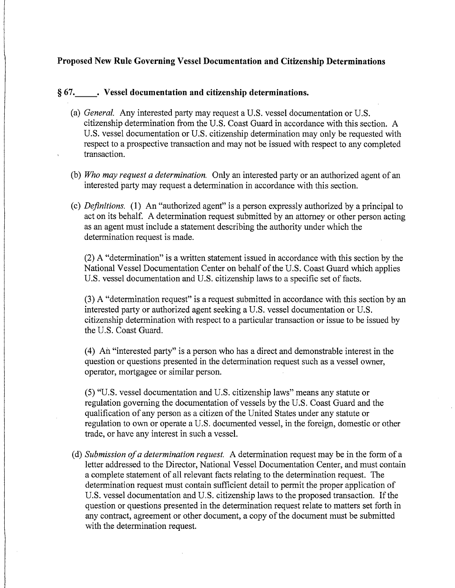# **Proposed New Rule Governing Vessel Documentation and Citizenship Determinations**

## § **67. \_\_ . Vessel documentation and citizenship determinations.**

- (a) *General.* Any interested party may request a U.S. vessel documentation or U.S. citizenship determination from the U.S. Coast Guard in accordance with this section. A U.S. vessel documentation or U.S. citizenship determination may only be requested with respect to a prospective transaction and may not be issued with respect to any completed transaction.
- (b) *Who may request a determination.* Only an interested party or an authorized agent of an interested party may request a determination in accordance with this section.
- (c) *Definitions.* **(l)** An "authorized agent" is a person expressly authorized by a principal to act on its behalf. A determination request submitted by an attorney or other person acting as an agent must include a statement describing the authority under which the determination request is made.

(2) A "determination" is a written statement issued in accordance with this section by the National Vessel Documentation Center on behalf of the U.S. Coast Guard which applies U.S. vessel documentation and U.S. citizenship laws to a specific set of facts.

(3) A "determination request" is a request submitted in accordance with this section by an interested party or authorized agent seeking a U.S. vessel documentation or U.S. citizenship determination with respect to a particular transaction or issue to be issued by the U.S. Coast Guard.

(4) An "interested party" is a person who has a direct and demonstrable interest in the question or questions presented in the determination request such as a vessel owner, operator, mortgagee or similar person.

(5) "U.S. vessel documentation and U.S. citizenship laws" means any statute or regulation governing the documentation of vessels by the U.S. Coast Guard and the qualification of any person as a citizen of the United States under any statute or regulation to own or operate a U.S. documented vessel, in the foreign, domestic or other trade, or have any interest in such a vessel.

( d) *Submission of a determination request.* A determination request may be in the form of a letter addressed to the Director, National Vessel Documentation Center, and must contain a complete statement of all relevant facts relating to the determination request. The determination request must contain sufficient detail to permit the proper application of U.S. vessel documentation and U.S. citizenship laws to the proposed transaction. If the question or questions presented in the determination request relate to matters set forth in any contract, agreement or other document, a copy of the document must be submitted with the determination request.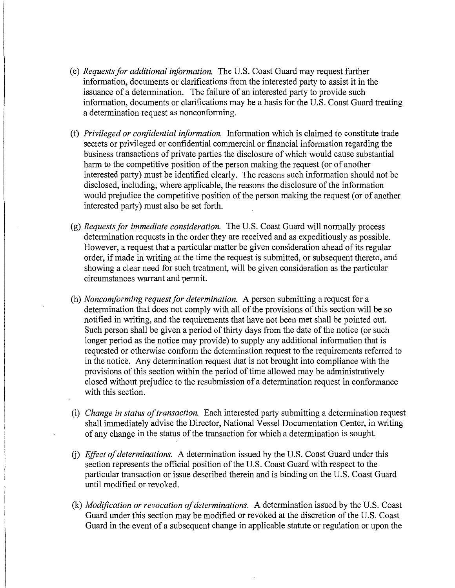- (e) *Requests for additional information.* The U.S. Coast Guard may request further information, documents or clarifications from the interested party to assist it in the issuance of a determination. The failure of an interested party to provide such information, documents or clarifications may be a basis for the U.S. Coast Guard treating a determination request as nonconforming.
- (f) *Privileged or confidential information.* Information which is claimed to constitute trade secrets or privileged or confidential commercial or financial information regarding the business transactions of private parties the disclosure of which would cause substantial harm to the competitive position of the person making the request (or of another interested party) must be identified clearly. The reasons such information should not be disclosed, including, where applicable, the reasons the disclosure of the information would prejudice the competitive position of the person making the request (or of another interested party) must also be set forth.
- (g) *Requests for immediate consideration.* The U.S. Coast Guard will normally process determination requests in the order they are received and as expeditiously as possible. However, a request that a particular matter be given consideration ahead of its regular order, if made in' writing at the time the request is submitted, or subsequent thereto, and showing a clear need for such treatment, will be given consideration as the particular circumstances warrant and permit.
- (h) *Noncomforming request for determination.* A person submitting a request for a determination that does not comply with all of the provisions of this section will be so notified in writing, and the requirements that have not been met shall be pointed out. Such person shall be given a period of thirty days from the date of the notice (or such longer period as the notice may provide) to supply any additional information that is requested or otherwise conform the determination request to the requirements referred to in the notice. Any determination request that is not brought into compliance with the provisions of this section within the period of time allowed may be administratively closed without prejudice to the resubmission of a determination request in conformance with this section.
- (i) *Change in status of transaction.* Each interested party submitting a determination request shall immediately advise the Director, National Vessel Documentation Center, in writing of any change in the status of the transaction for which a determination is sought.
- G) *Effect of determinations.* A determination issued by the U.S. Coast Guard under this section represents the official position of the U.S. Coast Guard with respect to the particular transaction or issue described therein and is binding on the U.S. Coast Guard until modified or revoked.
- (k) *Modification or revocation of determinations.* A determination issued by the U.S. Coast Guard under this section may be modified or revoked at the discretion of the U.S. Coast Guard in the event of a subsequent change in applicable statute or regulation or upon the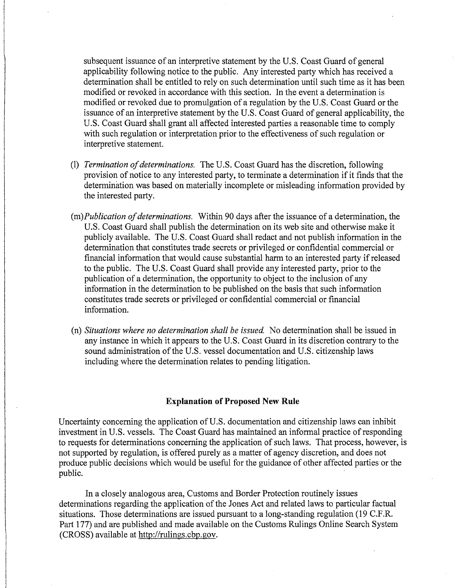subsequent issuance of an interpretive statement by the U.S. Coast Guard of general applicability following notice to the public. Any interested party which has received a determination shall be entitled to rely on such determination until such time as it has been modified or revoked in accordance with this section. In the event a determination is modified or revoked due to promulgation of a regulation by the U.S. Coast Guard or the issuance of an interpretive statement by the U.S. Coast Guard of general applicability, the U.S. Coast Guard shall grant all affected interested parties a reasonable time to comply with such regulation or interpretation prior to the effectiveness of such regulation or interpretive statement.

- (1) *Termination of determinations.* The U.S. Coast Guard has the discretion, following provision of notice to any interested party, to terminate a determination if it finds that the determination was based on materially incomplete or misleading information provided by the interested party.
- *(m)Publication of determinations.* Within 90 days after the issuance of a determination, the U.S. Coast Guard shall publish the determination on its web site and otherwise make it publicly available. The U.S. Coast Guard shall redact and not publish information in the determination that constitutes trade secrets or privileged or confidential commercial or financial information that would cause substantial harm to an interested party if released to the public. The U.S. Coast Guard shall provide any interested party, prior to the publication of a determination, the opportunity to object to the inclusion of any information in the determination to be published on the basis that such information constitutes trade secrets or privileged or confidential commercial or financial information.
- (n) *Situations where no determination shall be issued* No determination shall be issued in any instance in which it appears to the U.S. Coast Guard in its discretion contrary to the sound administration of the U.S. vessel documentation and U.S. citizenship laws including where the determination relates to pending litigation.

#### **Explanation of Proposed New Rule**

Uncertainty concerning the application of U.S. documentation and citizenship laws can inhibit investment in U.S. vessels. The Coast Guard has maintained an informal practice of responding to requests for determinations concerning the application of such laws. That process, however, is not supported by regulation, is offered purely as a matter of agency discretion, and does not produce public decisions which would be useful for the guidance of other affected parties or the public.

In a closely analogous area, Customs and Border Protection routinely issues determinations regarding the application of the Jones Act and related laws to particular factual situations. Those determinations are issued pursuant to a long-standing regulation (19 C.F.R. Part 177) and are published and made available on the Customs Rulings Online Search System (CROSS) available at http://rulings.cbp.gov.